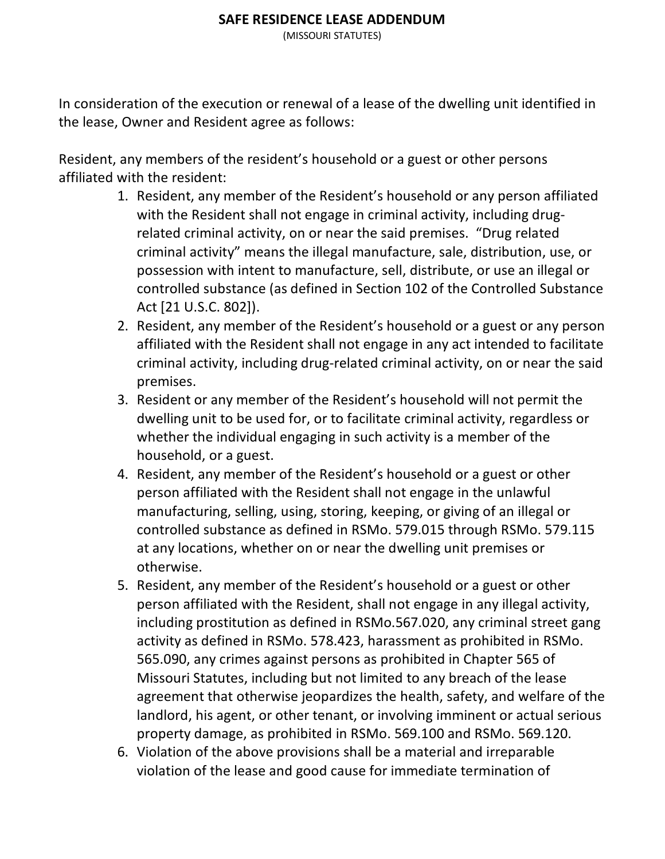## **SAFE RESIDENCE LEASE ADDENDUM**

(MISSOURI STATUTES)

In consideration of the execution or renewal of a lease of the dwelling unit identified in the lease, Owner and Resident agree as follows:

Resident, any members of the resident's household or a guest or other persons affiliated with the resident:

- 1. Resident, any member of the Resident's household or any person affiliated with the Resident shall not engage in criminal activity, including drugrelated criminal activity, on or near the said premises. "Drug related criminal activity" means the illegal manufacture, sale, distribution, use, or possession with intent to manufacture, sell, distribute, or use an illegal or controlled substance (as defined in Section 102 of the Controlled Substance Act [21 U.S.C. 802]).
- 2. Resident, any member of the Resident's household or a guest or any person affiliated with the Resident shall not engage in any act intended to facilitate criminal activity, including drug-related criminal activity, on or near the said premises.
- 3. Resident or any member of the Resident's household will not permit the dwelling unit to be used for, or to facilitate criminal activity, regardless or whether the individual engaging in such activity is a member of the household, or a guest.
- 4. Resident, any member of the Resident's household or a guest or other person affiliated with the Resident shall not engage in the unlawful manufacturing, selling, using, storing, keeping, or giving of an illegal or controlled substance as defined in RSMo. 579.015 through RSMo. 579.115 at any locations, whether on or near the dwelling unit premises or otherwise.
- 5. Resident, any member of the Resident's household or a guest or other person affiliated with the Resident, shall not engage in any illegal activity, including prostitution as defined in RSMo.567.020, any criminal street gang activity as defined in RSMo. 578.423, harassment as prohibited in RSMo. 565.090, any crimes against persons as prohibited in Chapter 565 of Missouri Statutes, including but not limited to any breach of the lease agreement that otherwise jeopardizes the health, safety, and welfare of the landlord, his agent, or other tenant, or involving imminent or actual serious property damage, as prohibited in RSMo. 569.100 and RSMo. 569.120.
- 6. Violation of the above provisions shall be a material and irreparable violation of the lease and good cause for immediate termination of